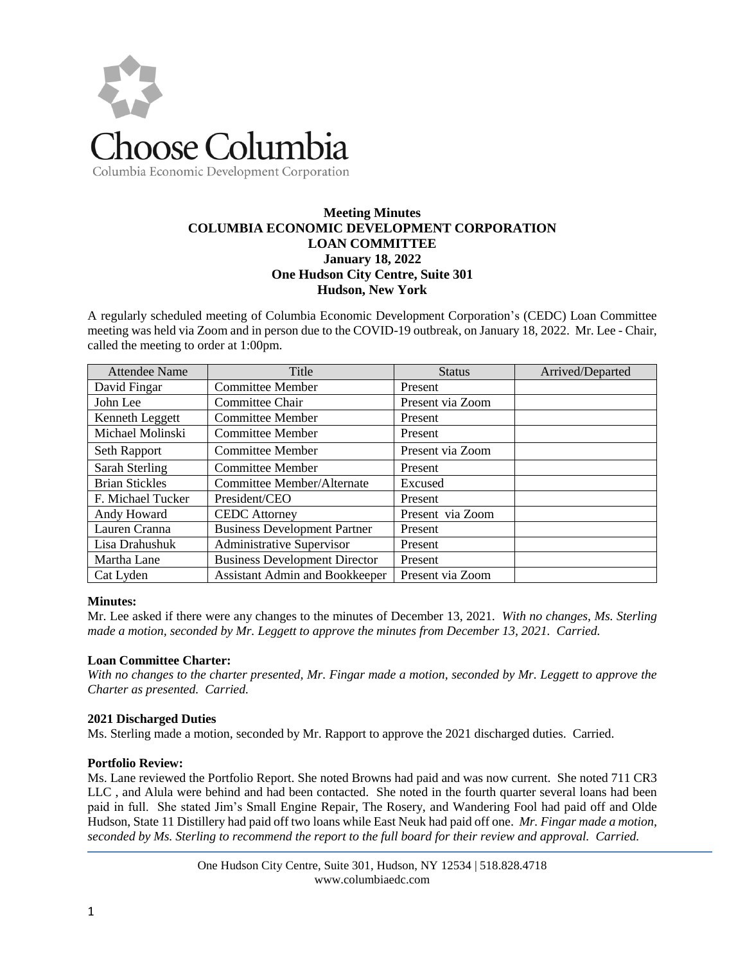

# Columbia Economic Development Corporation

## **Meeting Minutes COLUMBIA ECONOMIC DEVELOPMENT CORPORATION LOAN COMMITTEE January 18, 2022 One Hudson City Centre, Suite 301 Hudson, New York**

A regularly scheduled meeting of Columbia Economic Development Corporation's (CEDC) Loan Committee meeting was held via Zoom and in person due to the COVID-19 outbreak, on January 18, 2022. Mr. Lee - Chair, called the meeting to order at 1:00pm.

| <b>Attendee Name</b>  | Title                                 | <b>Status</b>    | Arrived/Departed |
|-----------------------|---------------------------------------|------------------|------------------|
| David Fingar          | <b>Committee Member</b>               | Present          |                  |
| John Lee              | Committee Chair                       | Present via Zoom |                  |
| Kenneth Leggett       | <b>Committee Member</b>               | Present          |                  |
| Michael Molinski      | <b>Committee Member</b>               | Present          |                  |
| Seth Rapport          | Committee Member                      | Present via Zoom |                  |
| <b>Sarah Sterling</b> | Committee Member                      | Present          |                  |
| <b>Brian Stickles</b> | Committee Member/Alternate            | Excused          |                  |
| F. Michael Tucker     | President/CEO                         | Present          |                  |
| Andy Howard           | <b>CEDC</b> Attorney                  | Present via Zoom |                  |
| Lauren Cranna         | <b>Business Development Partner</b>   | Present          |                  |
| Lisa Drahushuk        | Administrative Supervisor             | Present          |                  |
| Martha Lane           | <b>Business Development Director</b>  | Present          |                  |
| Cat Lyden             | <b>Assistant Admin and Bookkeeper</b> | Present via Zoom |                  |

#### **Minutes:**

Mr. Lee asked if there were any changes to the minutes of December 13, 2021. *With no changes, Ms. Sterling made a motion, seconded by Mr. Leggett to approve the minutes from December 13, 2021. Carried.* 

#### **Loan Committee Charter:**

*With no changes to the charter presented, Mr. Fingar made a motion, seconded by Mr. Leggett to approve the Charter as presented. Carried.* 

#### **2021 Discharged Duties**

Ms. Sterling made a motion, seconded by Mr. Rapport to approve the 2021 discharged duties. Carried.

#### **Portfolio Review:**

Ms. Lane reviewed the Portfolio Report. She noted Browns had paid and was now current. She noted 711 CR3 LLC , and Alula were behind and had been contacted. She noted in the fourth quarter several loans had been paid in full. She stated Jim's Small Engine Repair, The Rosery, and Wandering Fool had paid off and Olde Hudson, State 11 Distillery had paid off two loans while East Neuk had paid off one. *Mr. Fingar made a motion, seconded by Ms. Sterling to recommend the report to the full board for their review and approval. Carried.*